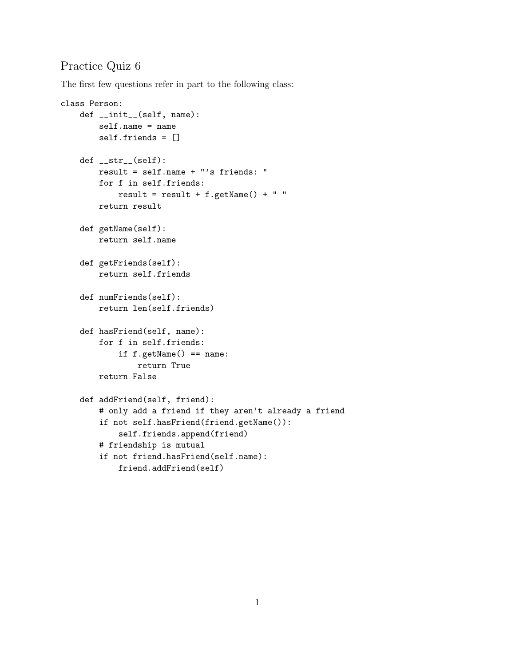## Practice Quiz 6

The first few questions refer in part to the following class:

```
class Person:
    def __init__(self, name):
        self.name = name
        self.friends = []
    def __str__(self):
       result = self.name + "'s friends: "
        for f in self.friends:
            result = result + f.getName() + " "return result
    def getName(self):
        return self.name
    def getFriends(self):
        return self.friends
    def numFriends(self):
        return len(self.friends)
    def hasFriend(self, name):
        for f in self.friends:
            if f.getName() == name:
                return True
        return False
    def addFriend(self, friend):
        # only add a friend if they aren't already a friend
        if not self.hasFriend(friend.getName()):
            self.friends.append(friend)
        # friendship is mutual
        if not friend.hasFriend(self.name):
            friend.addFriend(self)
```